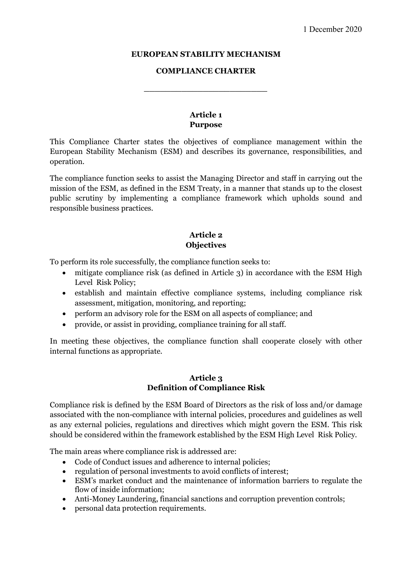#### **EUROPEAN STABILITY MECHANISM**

#### **COMPLIANCE CHARTER**

**\_\_\_\_\_\_\_\_\_\_\_\_\_\_\_\_\_\_\_\_\_\_\_**

## **Article 1 Purpose**

This Compliance Charter states the objectives of compliance management within the European Stability Mechanism (ESM) and describes its governance, responsibilities, and operation.

The compliance function seeks to assist the Managing Director and staff in carrying out the mission of the ESM, as defined in the ESM Treaty, in a manner that stands up to the closest public scrutiny by implementing a compliance framework which upholds sound and responsible business practices.

## **Article 2 Objectives**

To perform its role successfully, the compliance function seeks to:

- mitigate compliance risk (as defined in Article 3) in accordance with the ESM High Level Risk Policy;
- establish and maintain effective compliance systems, including compliance risk assessment, mitigation, monitoring, and reporting;
- perform an advisory role for the ESM on all aspects of compliance; and
- provide, or assist in providing, compliance training for all staff.

In meeting these objectives, the compliance function shall cooperate closely with other internal functions as appropriate.

#### **Article 3 Definition of Compliance Risk**

Compliance risk is defined by the ESM Board of Directors as the risk of loss and/or damage associated with the non-compliance with internal policies, procedures and guidelines as well as any external policies, regulations and directives which might govern the ESM. This risk should be considered within the framework established by the ESM High Level Risk Policy.

The main areas where compliance risk is addressed are:

- Code of Conduct issues and adherence to internal policies;
- regulation of personal investments to avoid conflicts of interest;
- ESM's market conduct and the maintenance of information barriers to regulate the flow of inside information;
- Anti-Money Laundering, financial sanctions and corruption prevention controls;
- personal data protection requirements.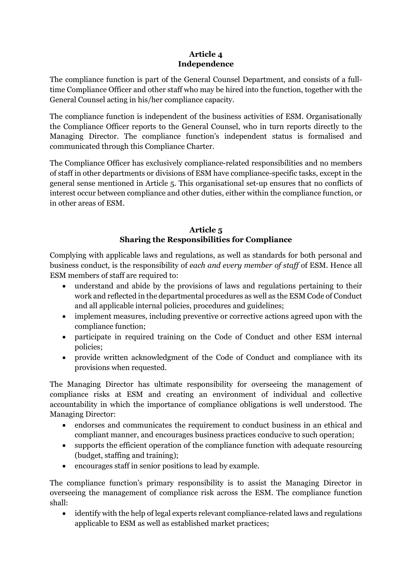## **Article 4 Independence**

The compliance function is part of the General Counsel Department, and consists of a fulltime Compliance Officer and other staff who may be hired into the function, together with the General Counsel acting in his/her compliance capacity.

The compliance function is independent of the business activities of ESM. Organisationally the Compliance Officer reports to the General Counsel, who in turn reports directly to the Managing Director. The compliance function's independent status is formalised and communicated through this Compliance Charter.

The Compliance Officer has exclusively compliance-related responsibilities and no members of staff in other departments or divisions of ESM have compliance-specific tasks, except in the general sense mentioned in Article 5. This organisational set-up ensures that no conflicts of interest occur between compliance and other duties, either within the compliance function, or in other areas of ESM.

## **Article 5 Sharing the Responsibilities for Compliance**

Complying with applicable laws and regulations, as well as standards for both personal and business conduct, is the responsibility of *each and every member of staff* of ESM. Hence all ESM members of staff are required to:

- understand and abide by the provisions of laws and regulations pertaining to their work and reflected in the departmental procedures as well as the ESM Code of Conduct and all applicable internal policies, procedures and guidelines;
- implement measures, including preventive or corrective actions agreed upon with the compliance function;
- participate in required training on the Code of Conduct and other ESM internal policies;
- provide written acknowledgment of the Code of Conduct and compliance with its provisions when requested.

The Managing Director has ultimate responsibility for overseeing the management of compliance risks at ESM and creating an environment of individual and collective accountability in which the importance of compliance obligations is well understood. The Managing Director:

- endorses and communicates the requirement to conduct business in an ethical and compliant manner, and encourages business practices conducive to such operation;
- supports the efficient operation of the compliance function with adequate resourcing (budget, staffing and training);
- encourages staff in senior positions to lead by example.

The compliance function's primary responsibility is to assist the Managing Director in overseeing the management of compliance risk across the ESM. The compliance function shall:

• identify with the help of legal experts relevant compliance-related laws and regulations applicable to ESM as well as established market practices;